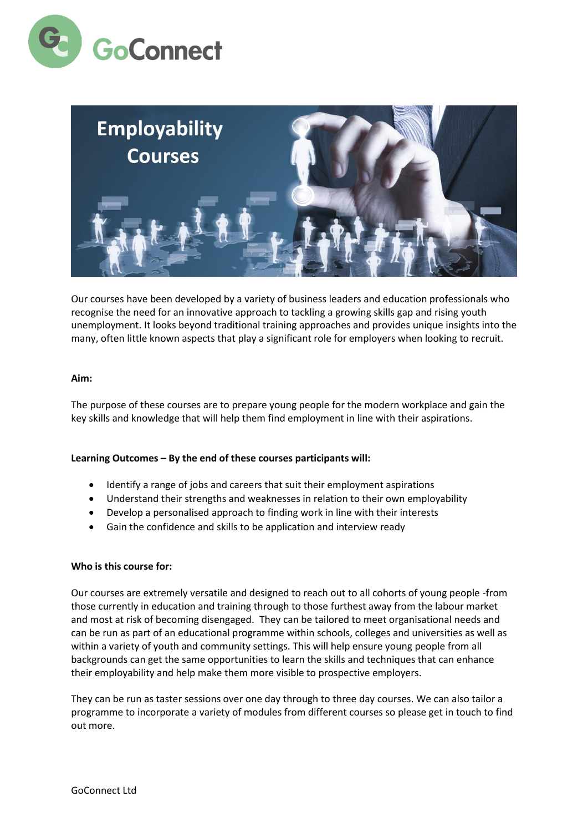



Our courses have been developed by a variety of business leaders and education professionals who recognise the need for an innovative approach to tackling a growing skills gap and rising youth unemployment. It looks beyond traditional training approaches and provides unique insights into the many, often little known aspects that play a significant role for employers when looking to recruit.

#### **Aim:**

The purpose of these courses are to prepare young people for the modern workplace and gain the key skills and knowledge that will help them find employment in line with their aspirations.

### **Learning Outcomes – By the end of these courses participants will:**

- Identify a range of jobs and careers that suit their employment aspirations
- Understand their strengths and weaknesses in relation to their own employability
- Develop a personalised approach to finding work in line with their interests
- Gain the confidence and skills to be application and interview ready

### **Who is this course for:**

Our courses are extremely versatile and designed to reach out to all cohorts of young people -from those currently in education and training through to those furthest away from the labour market and most at risk of becoming disengaged. They can be tailored to meet organisational needs and can be run as part of an educational programme within schools, colleges and universities as well as within a variety of youth and community settings. This will help ensure young people from all backgrounds can get the same opportunities to learn the skills and techniques that can enhance their employability and help make them more visible to prospective employers.

They can be run as taster sessions over one day through to three day courses. We can also tailor a programme to incorporate a variety of modules from different courses so please get in touch to find out more.